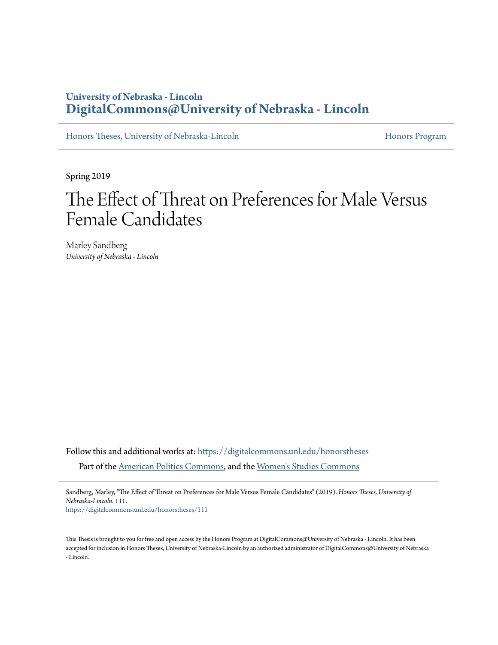# **University of Nebraska - Lincoln [DigitalCommons@University of Nebraska - Lincoln](https://digitalcommons.unl.edu?utm_source=digitalcommons.unl.edu%2Fhonorstheses%2F111&utm_medium=PDF&utm_campaign=PDFCoverPages)**

[Honors Theses, University of Nebraska-Lincoln](https://digitalcommons.unl.edu/honorstheses?utm_source=digitalcommons.unl.edu%2Fhonorstheses%2F111&utm_medium=PDF&utm_campaign=PDFCoverPages) [Honors Program](https://digitalcommons.unl.edu/honorsprogram?utm_source=digitalcommons.unl.edu%2Fhonorstheses%2F111&utm_medium=PDF&utm_campaign=PDFCoverPages) Honors Program

Spring 2019

# The Effect of Threat on Preferences for Male Versus Female Candidates

Marley Sandberg *University of Nebraska - Lincoln*

Follow this and additional works at: [https://digitalcommons.unl.edu/honorstheses](https://digitalcommons.unl.edu/honorstheses?utm_source=digitalcommons.unl.edu%2Fhonorstheses%2F111&utm_medium=PDF&utm_campaign=PDFCoverPages) Part of the [American Politics Commons](http://network.bepress.com/hgg/discipline/387?utm_source=digitalcommons.unl.edu%2Fhonorstheses%2F111&utm_medium=PDF&utm_campaign=PDFCoverPages), and the [Women's Studies Commons](http://network.bepress.com/hgg/discipline/561?utm_source=digitalcommons.unl.edu%2Fhonorstheses%2F111&utm_medium=PDF&utm_campaign=PDFCoverPages)

Sandberg, Marley, "The Effect of Threat on Preferences for Male Versus Female Candidates" (2019). *Honors Theses, University of Nebraska-Lincoln*. 111.

[https://digitalcommons.unl.edu/honorstheses/111](https://digitalcommons.unl.edu/honorstheses/111?utm_source=digitalcommons.unl.edu%2Fhonorstheses%2F111&utm_medium=PDF&utm_campaign=PDFCoverPages)

This Thesis is brought to you for free and open access by the Honors Program at DigitalCommons@University of Nebraska - Lincoln. It has been accepted for inclusion in Honors Theses, University of Nebraska-Lincoln by an authorized administrator of DigitalCommons@University of Nebraska - Lincoln.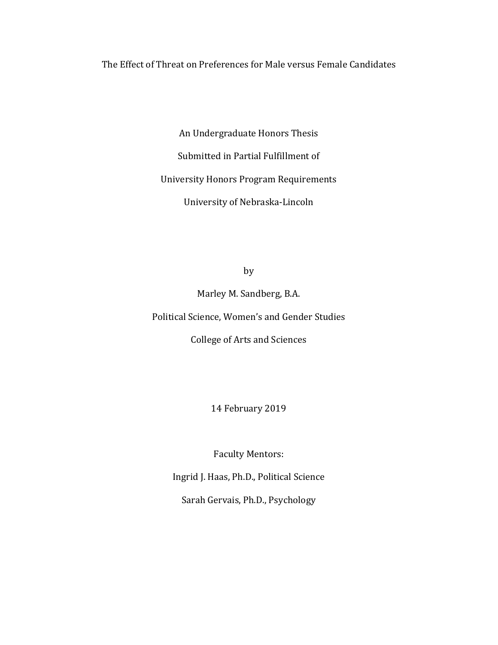The Effect of Threat on Preferences for Male versus Female Candidates

An Undergraduate Honors Thesis

Submitted in Partial Fulfillment of

University Honors Program Requirements

University of Nebraska-Lincoln

by

Marley M. Sandberg, B.A.

Political Science, Women's and Gender Studies

College of Arts and Sciences

14 February 2019

Faculty Mentors:

Ingrid J. Haas, Ph.D., Political Science

Sarah Gervais, Ph.D., Psychology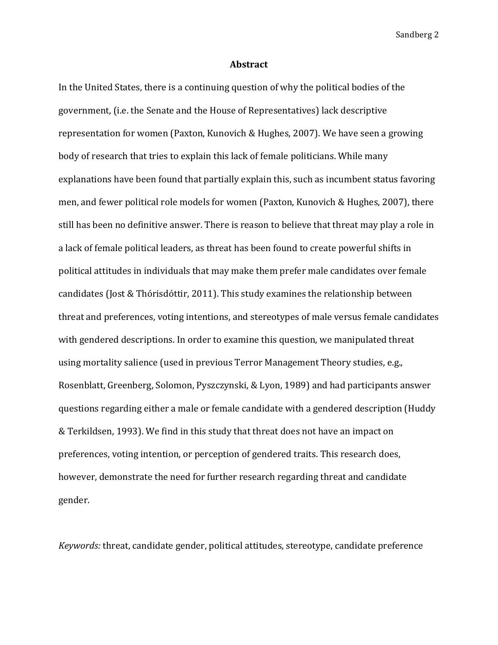#### **Abstract**

In the United States, there is a continuing question of why the political bodies of the government, (i.e. the Senate and the House of Representatives) lack descriptive representation for women (Paxton, Kunovich & Hughes, 2007). We have seen a growing body of research that tries to explain this lack of female politicians. While many explanations have been found that partially explain this, such as incumbent status favoring men, and fewer political role models for women (Paxton, Kunovich & Hughes, 2007), there still has been no definitive answer. There is reason to believe that threat may play a role in a lack of female political leaders, as threat has been found to create powerful shifts in political attitudes in individuals that may make them prefer male candidates over female candidates (Jost & Thórisdóttir, 2011). This study examines the relationship between threat and preferences, voting intentions, and stereotypes of male versus female candidates with gendered descriptions. In order to examine this question, we manipulated threat using mortality salience (used in previous Terror Management Theory studies, e.g., Rosenblatt, Greenberg, Solomon, Pyszczynski, & Lyon, 1989) and had participants answer questions regarding either a male or female candidate with a gendered description (Huddy & Terkildsen, 1993). We find in this study that threat does not have an impact on preferences, voting intention, or perception of gendered traits. This research does, however, demonstrate the need for further research regarding threat and candidate gender. 

*Keywords:* threat, candidate gender, political attitudes, stereotype, candidate preference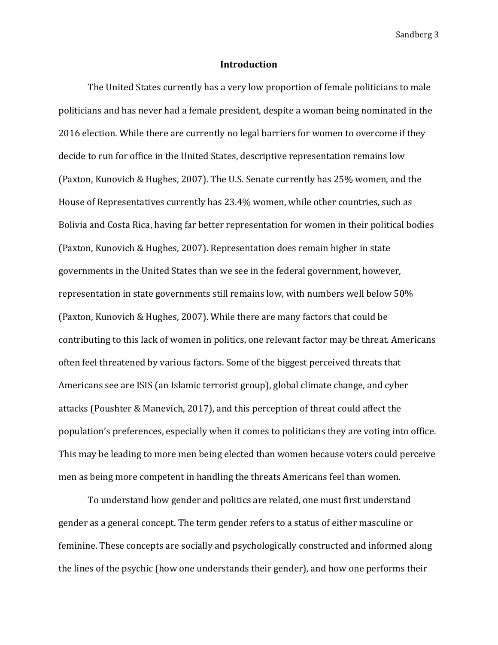#### **Introduction**

The United States currently has a very low proportion of female politicians to male politicians and has never had a female president, despite a woman being nominated in the 2016 election. While there are currently no legal barriers for women to overcome if they decide to run for office in the United States, descriptive representation remains low (Paxton, Kunovich & Hughes, 2007). The U.S. Senate currently has 25% women, and the House of Representatives currently has 23.4% women, while other countries, such as Bolivia and Costa Rica, having far better representation for women in their political bodies (Paxton, Kunovich & Hughes, 2007). Representation does remain higher in state governments in the United States than we see in the federal government, however, representation in state governments still remains low, with numbers well below 50% (Paxton, Kunovich & Hughes, 2007). While there are many factors that could be contributing to this lack of women in politics, one relevant factor may be threat. Americans often feel threatened by various factors. Some of the biggest perceived threats that Americans see are ISIS (an Islamic terrorist group), global climate change, and cyber attacks (Poushter & Manevich, 2017), and this perception of threat could affect the population's preferences, especially when it comes to politicians they are voting into office. This may be leading to more men being elected than women because voters could perceive men as being more competent in handling the threats Americans feel than women.

To understand how gender and politics are related, one must first understand gender as a general concept. The term gender refers to a status of either masculine or feminine. These concepts are socially and psychologically constructed and informed along the lines of the psychic (how one understands their gender), and how one performs their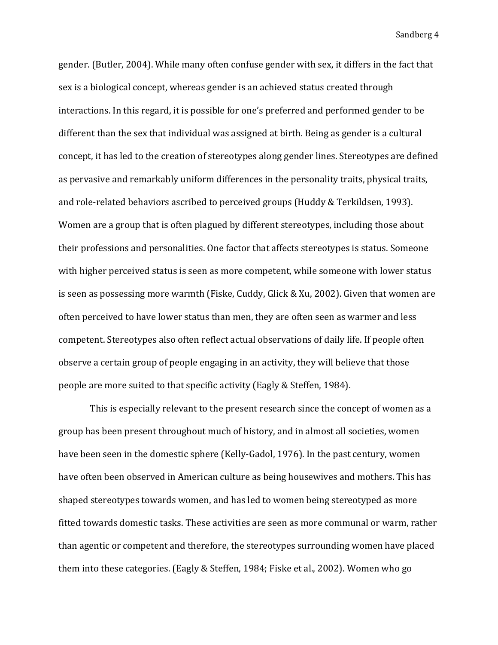gender. (Butler, 2004). While many often confuse gender with sex, it differs in the fact that sex is a biological concept, whereas gender is an achieved status created through interactions. In this regard, it is possible for one's preferred and performed gender to be different than the sex that individual was assigned at birth. Being as gender is a cultural concept, it has led to the creation of stereotypes along gender lines. Stereotypes are defined as pervasive and remarkably uniform differences in the personality traits, physical traits, and role-related behaviors ascribed to perceived groups (Huddy & Terkildsen, 1993). Women are a group that is often plagued by different stereotypes, including those about their professions and personalities. One factor that affects stereotypes is status. Someone with higher perceived status is seen as more competent, while someone with lower status is seen as possessing more warmth (Fiske, Cuddy, Glick & Xu, 2002). Given that women are often perceived to have lower status than men, they are often seen as warmer and less competent. Stereotypes also often reflect actual observations of daily life. If people often observe a certain group of people engaging in an activity, they will believe that those people are more suited to that specific activity (Eagly & Steffen, 1984).

This is especially relevant to the present research since the concept of women as a group has been present throughout much of history, and in almost all societies, women have been seen in the domestic sphere (Kelly-Gadol, 1976). In the past century, women have often been observed in American culture as being housewives and mothers. This has shaped stereotypes towards women, and has led to women being stereotyped as more fitted towards domestic tasks. These activities are seen as more communal or warm, rather than agentic or competent and therefore, the stereotypes surrounding women have placed them into these categories. (Eagly & Steffen, 1984; Fiske et al., 2002). Women who go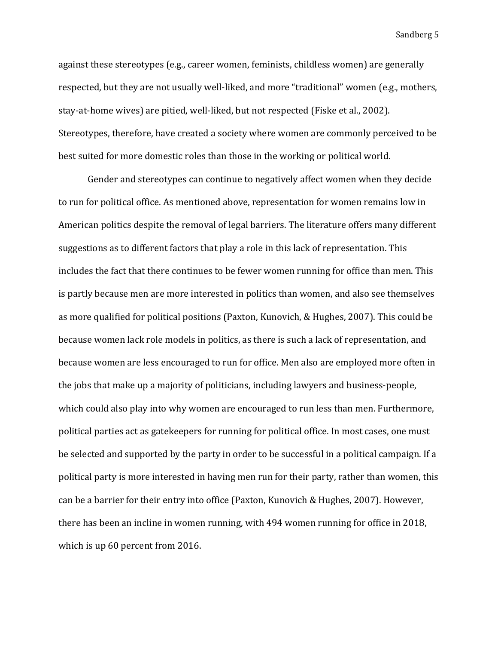against these stereotypes (e.g., career women, feminists, childless women) are generally respected, but they are not usually well-liked, and more "traditional" women (e.g., mothers, stay-at-home wives) are pitied, well-liked, but not respected (Fiske et al., 2002). Stereotypes, therefore, have created a society where women are commonly perceived to be best suited for more domestic roles than those in the working or political world.

Gender and stereotypes can continue to negatively affect women when they decide to run for political office. As mentioned above, representation for women remains low in American politics despite the removal of legal barriers. The literature offers many different suggestions as to different factors that play a role in this lack of representation. This includes the fact that there continues to be fewer women running for office than men. This is partly because men are more interested in politics than women, and also see themselves as more qualified for political positions (Paxton, Kunovich,  $&$  Hughes, 2007). This could be because women lack role models in politics, as there is such a lack of representation, and because women are less encouraged to run for office. Men also are employed more often in the jobs that make up a majority of politicians, including lawyers and business-people, which could also play into why women are encouraged to run less than men. Furthermore, political parties act as gatekeepers for running for political office. In most cases, one must be selected and supported by the party in order to be successful in a political campaign. If a political party is more interested in having men run for their party, rather than women, this can be a barrier for their entry into office (Paxton, Kunovich & Hughes, 2007). However, there has been an incline in women running, with 494 women running for office in 2018, which is up 60 percent from 2016.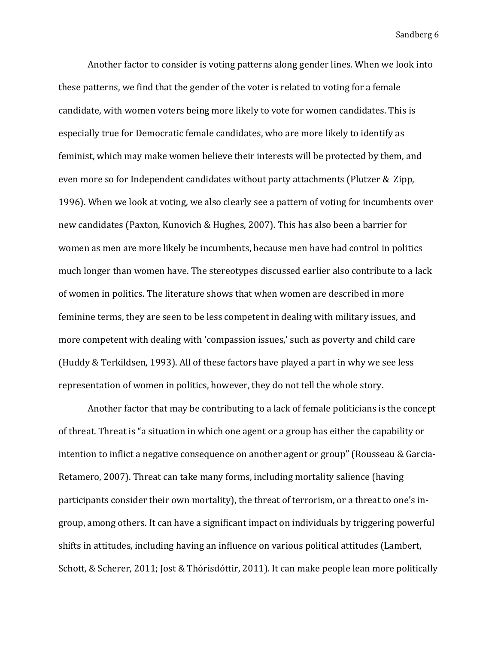Another factor to consider is voting patterns along gender lines. When we look into these patterns, we find that the gender of the voter is related to voting for a female candidate, with women voters being more likely to vote for women candidates. This is especially true for Democratic female candidates, who are more likely to identify as feminist, which may make women believe their interests will be protected by them, and even more so for Independent candidates without party attachments (Plutzer & Zipp, 1996). When we look at voting, we also clearly see a pattern of voting for incumbents over new candidates (Paxton, Kunovich & Hughes, 2007). This has also been a barrier for women as men are more likely be incumbents, because men have had control in politics much longer than women have. The stereotypes discussed earlier also contribute to a lack of women in politics. The literature shows that when women are described in more feminine terms, they are seen to be less competent in dealing with military issues, and more competent with dealing with 'compassion issues,' such as poverty and child care (Huddy & Terkildsen, 1993). All of these factors have played a part in why we see less representation of women in politics, however, they do not tell the whole story.

Another factor that may be contributing to a lack of female politicians is the concept of threat. Threat is "a situation in which one agent or a group has either the capability or intention to inflict a negative consequence on another agent or group" (Rousseau & Garcia-Retamero, 2007). Threat can take many forms, including mortality salience (having participants consider their own mortality), the threat of terrorism, or a threat to one's ingroup, among others. It can have a significant impact on individuals by triggering powerful shifts in attitudes, including having an influence on various political attitudes (Lambert, Schott, & Scherer, 2011; Jost & Thórisdóttir, 2011). It can make people lean more politically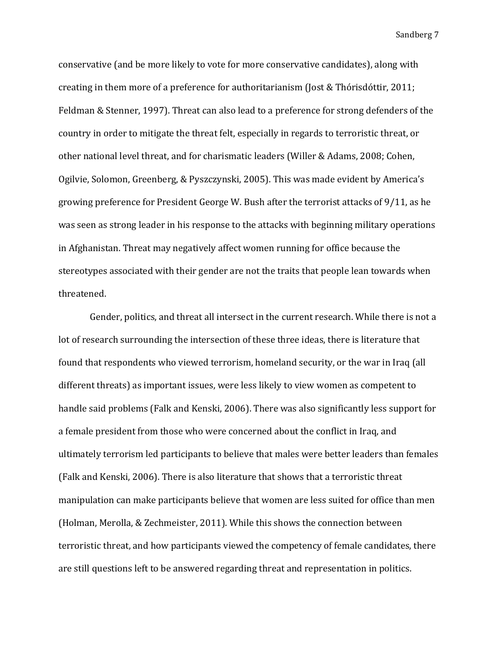conservative (and be more likely to vote for more conservative candidates), along with creating in them more of a preference for authoritarianism (Jost & Thórisdóttir, 2011; Feldman & Stenner, 1997). Threat can also lead to a preference for strong defenders of the country in order to mitigate the threat felt, especially in regards to terroristic threat, or other national level threat, and for charismatic leaders (Willer & Adams, 2008; Cohen, Ogilvie, Solomon, Greenberg, & Pyszczynski, 2005). This was made evident by America's growing preference for President George W. Bush after the terrorist attacks of 9/11, as he was seen as strong leader in his response to the attacks with beginning military operations in Afghanistan. Threat may negatively affect women running for office because the stereotypes associated with their gender are not the traits that people lean towards when threatened. 

Gender, politics, and threat all intersect in the current research. While there is not a lot of research surrounding the intersection of these three ideas, there is literature that found that respondents who viewed terrorism, homeland security, or the war in Iraq (all different threats) as important issues, were less likely to view women as competent to handle said problems (Falk and Kenski, 2006). There was also significantly less support for a female president from those who were concerned about the conflict in Iraq, and ultimately terrorism led participants to believe that males were better leaders than females (Falk and Kenski, 2006). There is also literature that shows that a terroristic threat manipulation can make participants believe that women are less suited for office than men (Holman, Merolla, & Zechmeister, 2011). While this shows the connection between terroristic threat, and how participants viewed the competency of female candidates, there are still questions left to be answered regarding threat and representation in politics.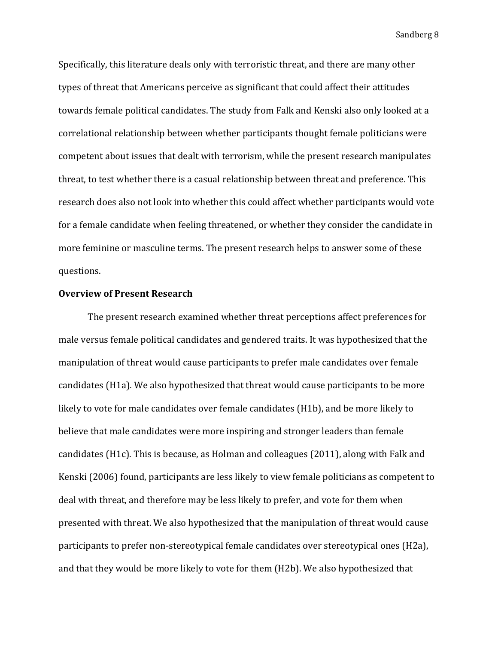Specifically, this literature deals only with terroristic threat, and there are many other types of threat that Americans perceive as significant that could affect their attitudes towards female political candidates. The study from Falk and Kenski also only looked at a correlational relationship between whether participants thought female politicians were competent about issues that dealt with terrorism, while the present research manipulates threat, to test whether there is a casual relationship between threat and preference. This research does also not look into whether this could affect whether participants would vote for a female candidate when feeling threatened, or whether they consider the candidate in more feminine or masculine terms. The present research helps to answer some of these questions. 

## **Overview of Present Research**

The present research examined whether threat perceptions affect preferences for male versus female political candidates and gendered traits. It was hypothesized that the manipulation of threat would cause participants to prefer male candidates over female candidates (H1a). We also hypothesized that threat would cause participants to be more likely to vote for male candidates over female candidates (H1b), and be more likely to believe that male candidates were more inspiring and stronger leaders than female candidates (H1c). This is because, as Holman and colleagues (2011), along with Falk and Kenski (2006) found, participants are less likely to view female politicians as competent to deal with threat, and therefore may be less likely to prefer, and vote for them when presented with threat. We also hypothesized that the manipulation of threat would cause participants to prefer non-stereotypical female candidates over stereotypical ones (H2a), and that they would be more likely to vote for them (H2b). We also hypothesized that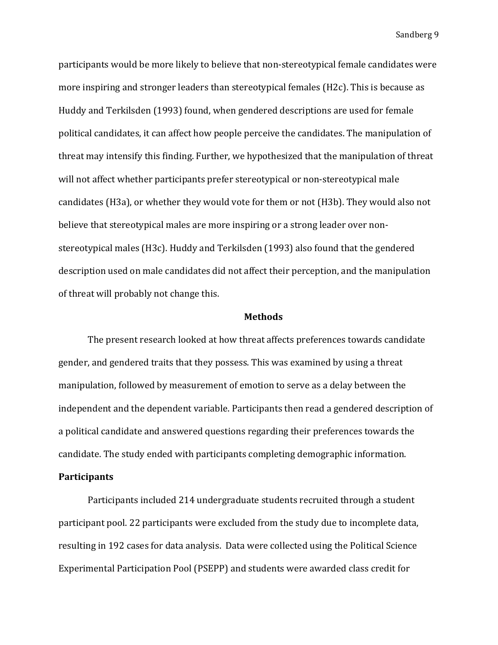participants would be more likely to believe that non-stereotypical female candidates were more inspiring and stronger leaders than stereotypical females  $(H2c)$ . This is because as Huddy and Terkilsden (1993) found, when gendered descriptions are used for female political candidates, it can affect how people perceive the candidates. The manipulation of threat may intensify this finding. Further, we hypothesized that the manipulation of threat will not affect whether participants prefer stereotypical or non-stereotypical male candidates (H3a), or whether they would vote for them or not (H3b). They would also not believe that stereotypical males are more inspiring or a strong leader over nonstereotypical males (H3c). Huddy and Terkilsden (1993) also found that the gendered description used on male candidates did not affect their perception, and the manipulation of threat will probably not change this.

#### **Methods**

The present research looked at how threat affects preferences towards candidate gender, and gendered traits that they possess. This was examined by using a threat manipulation, followed by measurement of emotion to serve as a delay between the independent and the dependent variable. Participants then read a gendered description of a political candidate and answered questions regarding their preferences towards the candidate. The study ended with participants completing demographic information.

#### **Participants**

Participants included 214 undergraduate students recruited through a student participant pool. 22 participants were excluded from the study due to incomplete data, resulting in 192 cases for data analysis. Data were collected using the Political Science Experimental Participation Pool (PSEPP) and students were awarded class credit for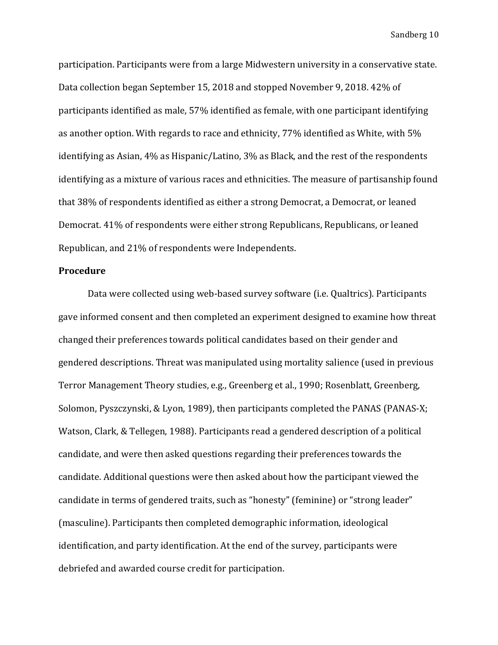participation. Participants were from a large Midwestern university in a conservative state. Data collection began September 15, 2018 and stopped November 9, 2018. 42% of participants identified as male, 57% identified as female, with one participant identifying as another option. With regards to race and ethnicity,  $77\%$  identified as White, with  $5\%$ identifying as Asian, 4% as Hispanic/Latino, 3% as Black, and the rest of the respondents identifying as a mixture of various races and ethnicities. The measure of partisanship found that 38% of respondents identified as either a strong Democrat, a Democrat, or leaned Democrat. 41% of respondents were either strong Republicans, Republicans, or leaned Republican, and 21% of respondents were Independents.

## **Procedure**

Data were collected using web-based survey software (i.e. Qualtrics). Participants gave informed consent and then completed an experiment designed to examine how threat changed their preferences towards political candidates based on their gender and gendered descriptions. Threat was manipulated using mortality salience (used in previous Terror Management Theory studies, e.g., Greenberg et al., 1990; Rosenblatt, Greenberg, Solomon, Pyszczynski, & Lyon, 1989), then participants completed the PANAS (PANAS-X; Watson, Clark, & Tellegen, 1988). Participants read a gendered description of a political candidate, and were then asked questions regarding their preferences towards the candidate. Additional questions were then asked about how the participant viewed the candidate in terms of gendered traits, such as "honesty" (feminine) or "strong leader" (masculine). Participants then completed demographic information, ideological identification, and party identification. At the end of the survey, participants were debriefed and awarded course credit for participation.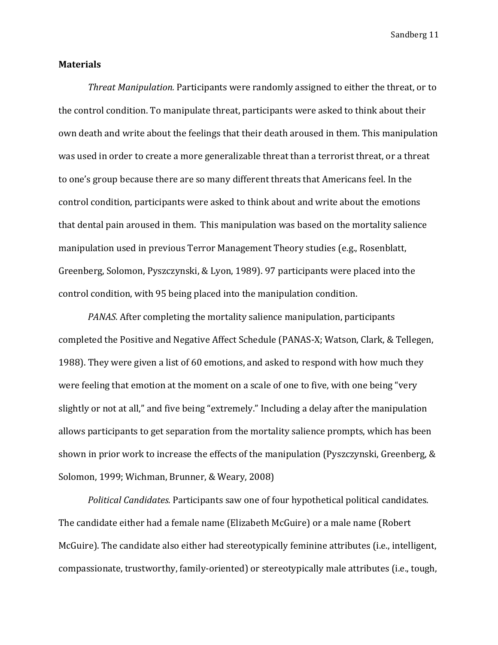## **Materials**

*Threat Manipulation.* Participants were randomly assigned to either the threat, or to the control condition. To manipulate threat, participants were asked to think about their own death and write about the feelings that their death aroused in them. This manipulation was used in order to create a more generalizable threat than a terrorist threat, or a threat to one's group because there are so many different threats that Americans feel. In the control condition, participants were asked to think about and write about the emotions that dental pain aroused in them. This manipulation was based on the mortality salience manipulation used in previous Terror Management Theory studies (e.g., Rosenblatt, Greenberg, Solomon, Pyszczynski, & Lyon, 1989). 97 participants were placed into the control condition, with 95 being placed into the manipulation condition.

*PANAS.* After completing the mortality salience manipulation, participants completed the Positive and Negative Affect Schedule (PANAS-X; Watson, Clark, & Tellegen, 1988). They were given a list of 60 emotions, and asked to respond with how much they were feeling that emotion at the moment on a scale of one to five, with one being "very slightly or not at all," and five being "extremely." Including a delay after the manipulation allows participants to get separation from the mortality salience prompts, which has been shown in prior work to increase the effects of the manipulation (Pyszczynski, Greenberg,  $&$ Solomon, 1999; Wichman, Brunner, & Weary, 2008)

*Political Candidates.* Participants saw one of four hypothetical political candidates. The candidate either had a female name (Elizabeth McGuire) or a male name (Robert McGuire). The candidate also either had stereotypically feminine attributes (i.e., intelligent, compassionate, trustworthy, family-oriented) or stereotypically male attributes (i.e., tough,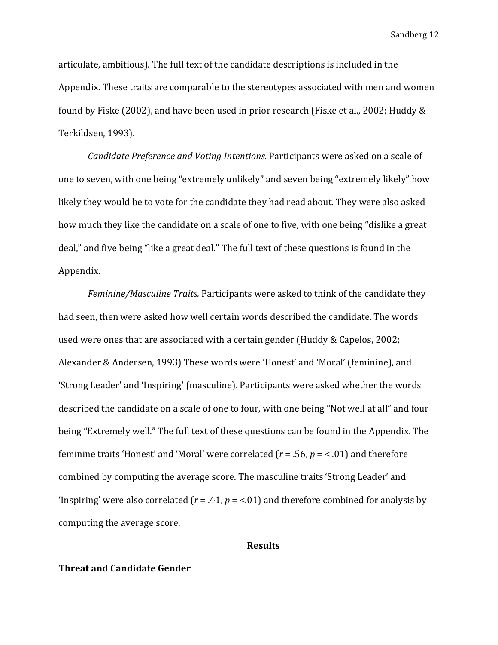articulate, ambitious). The full text of the candidate descriptions is included in the Appendix. These traits are comparable to the stereotypes associated with men and women found by Fiske (2002), and have been used in prior research (Fiske et al., 2002; Huddy & Terkildsen, 1993).

*Candidate Preference and Voting Intentions.* Participants were asked on a scale of one to seven, with one being "extremely unlikely" and seven being "extremely likely" how likely they would be to vote for the candidate they had read about. They were also asked how much they like the candidate on a scale of one to five, with one being "dislike a great deal," and five being "like a great deal." The full text of these questions is found in the Appendix.

Feminine/Masculine Traits. Participants were asked to think of the candidate they had seen, then were asked how well certain words described the candidate. The words used were ones that are associated with a certain gender (Huddy & Capelos, 2002; Alexander & Andersen, 1993) These words were 'Honest' and 'Moral' (feminine), and 'Strong Leader' and 'Inspiring' (masculine). Participants were asked whether the words described the candidate on a scale of one to four, with one being "Not well at all" and four being "Extremely well." The full text of these questions can be found in the Appendix. The feminine traits 'Honest' and 'Moral' were correlated ( $r = .56$ ,  $p = < .01$ ) and therefore combined by computing the average score. The masculine traits 'Strong Leader' and 'Inspiring' were also correlated  $(r = .41, p = < .01)$  and therefore combined for analysis by computing the average score.

#### **Results**

#### **Threat and Candidate Gender**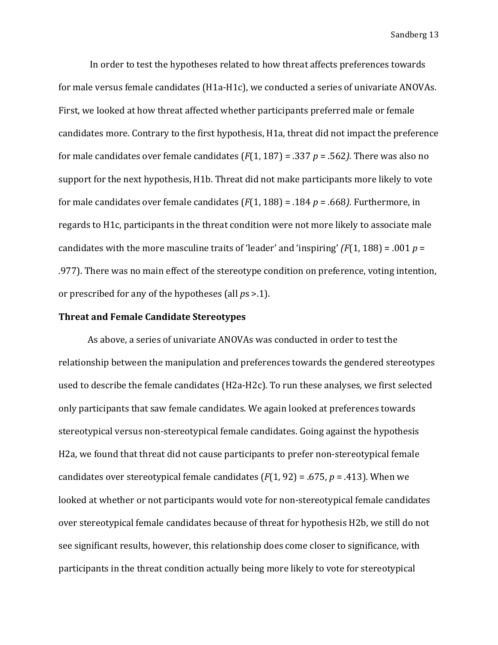In order to test the hypotheses related to how threat affects preferences towards for male versus female candidates (H1a-H1c), we conducted a series of univariate ANOVAs. First, we looked at how threat affected whether participants preferred male or female candidates more. Contrary to the first hypothesis, H1a, threat did not impact the preference for male candidates over female candidates  $(F(1, 187) = .337 p = .562)$ . There was also no support for the next hypothesis, H1b. Threat did not make participants more likely to vote for male candidates over female candidates  $(F(1, 188) = .184 p = .668)$ . Furthermore, in regards to H1c, participants in the threat condition were not more likely to associate male candidates with the more masculine traits of 'leader' and 'inspiring'  $(F(1, 188) = .001 p =$ .977). There was no main effect of the stereotype condition on preference, voting intention, or prescribed for any of the hypotheses (all  $ps > .1$ ).

## **Threat and Female Candidate Stereotypes**

As above, a series of univariate ANOVAs was conducted in order to test the relationship between the manipulation and preferences towards the gendered stereotypes used to describe the female candidates (H2a-H2c). To run these analyses, we first selected only participants that saw female candidates. We again looked at preferences towards stereotypical versus non-stereotypical female candidates. Going against the hypothesis H2a, we found that threat did not cause participants to prefer non-stereotypical female candidates over stereotypical female candidates  $(F(1, 92) = .675, p = .413)$ . When we looked at whether or not participants would vote for non-stereotypical female candidates over stereotypical female candidates because of threat for hypothesis H2b, we still do not see significant results, however, this relationship does come closer to significance, with participants in the threat condition actually being more likely to vote for stereotypical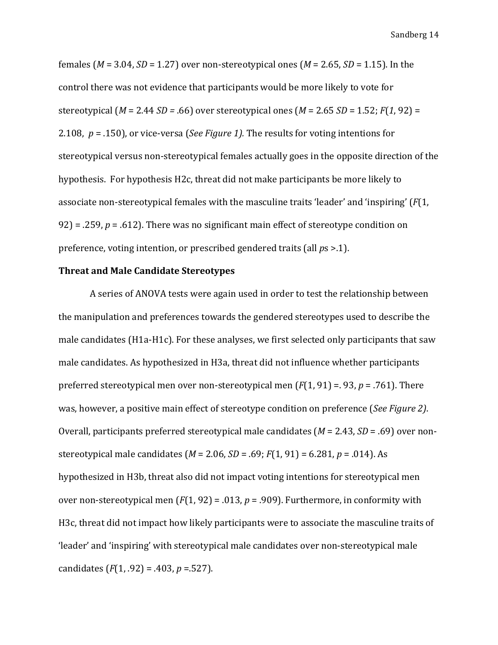females ( $M = 3.04$ ,  $SD = 1.27$ ) over non-stereotypical ones ( $M = 2.65$ ,  $SD = 1.15$ ). In the control there was not evidence that participants would be more likely to vote for stereotypical  $(M = 2.44 SD = .66)$  over stereotypical ones  $(M = 2.65 SD = 1.52; F(1, 92) =$ 2.108,  $p = .150$ ), or vice-versa (*See Figure 1*). The results for voting intentions for stereotypical versus non-stereotypical females actually goes in the opposite direction of the hypothesis. For hypothesis H2c, threat did not make participants be more likely to associate non-stereotypical females with the masculine traits 'leader' and 'inspiring' (*F*(1, 92) =  $.259$ ,  $p = .612$ ). There was no significant main effect of stereotype condition on preference, voting intention, or prescribed gendered traits (all  $ps > 1$ ).

## **Threat and Male Candidate Stereotypes**

A series of ANOVA tests were again used in order to test the relationship between the manipulation and preferences towards the gendered stereotypes used to describe the male candidates  $(H1a-H1c)$ . For these analyses, we first selected only participants that saw male candidates. As hypothesized in H3a, threat did not influence whether participants preferred stereotypical men over non-stereotypical men  $(F(1, 91) = .93, p = .761)$ . There was, however, a positive main effect of stereotype condition on preference (*See Figure 2*). Overall, participants preferred stereotypical male candidates  $(M = 2.43, SD = .69)$  over nonstereotypical male candidates  $(M = 2.06, SD = .69; F(1, 91) = 6.281, p = .014$ . As hypothesized in H3b, threat also did not impact voting intentions for stereotypical men over non-stereotypical men  $(F(1, 92) = .013, p = .909)$ . Furthermore, in conformity with H3c, threat did not impact how likely participants were to associate the masculine traits of 'leader' and 'inspiring' with stereotypical male candidates over non-stereotypical male candidates  $(F(1, .92) = .403, p = .527)$ .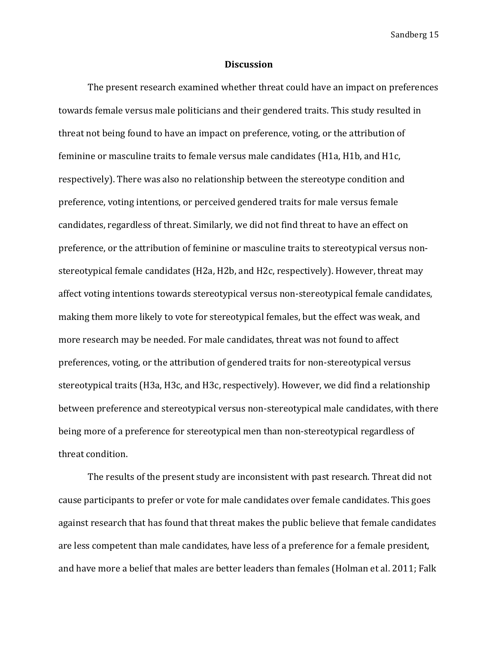#### **Discussion**

The present research examined whether threat could have an impact on preferences towards female versus male politicians and their gendered traits. This study resulted in threat not being found to have an impact on preference, voting, or the attribution of feminine or masculine traits to female versus male candidates (H1a, H1b, and H1c, respectively). There was also no relationship between the stereotype condition and preference, voting intentions, or perceived gendered traits for male versus female candidates, regardless of threat. Similarly, we did not find threat to have an effect on preference, or the attribution of feminine or masculine traits to stereotypical versus nonstereotypical female candidates (H2a, H2b, and H2c, respectively). However, threat may affect voting intentions towards stereotypical versus non-stereotypical female candidates, making them more likely to vote for stereotypical females, but the effect was weak, and more research may be needed. For male candidates, threat was not found to affect preferences, voting, or the attribution of gendered traits for non-stereotypical versus stereotypical traits (H3a, H3c, and H3c, respectively). However, we did find a relationship between preference and stereotypical versus non-stereotypical male candidates, with there being more of a preference for stereotypical men than non-stereotypical regardless of threat condition.

The results of the present study are inconsistent with past research. Threat did not cause participants to prefer or vote for male candidates over female candidates. This goes against research that has found that threat makes the public believe that female candidates are less competent than male candidates, have less of a preference for a female president, and have more a belief that males are better leaders than females (Holman et al. 2011; Falk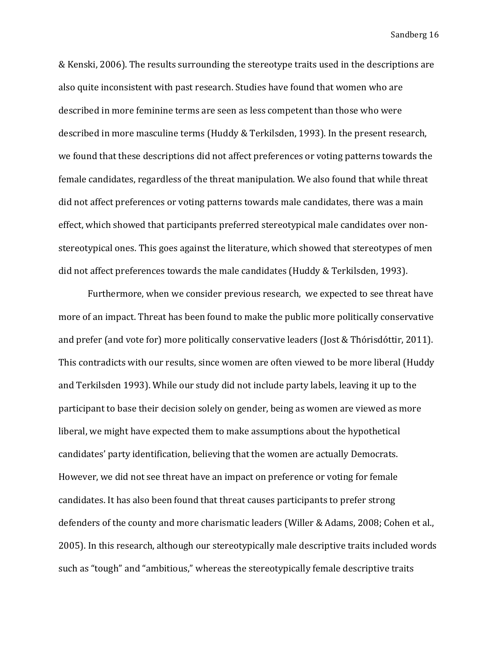& Kenski, 2006). The results surrounding the stereotype traits used in the descriptions are also quite inconsistent with past research. Studies have found that women who are described in more feminine terms are seen as less competent than those who were described in more masculine terms (Huddy & Terkilsden, 1993). In the present research, we found that these descriptions did not affect preferences or voting patterns towards the female candidates, regardless of the threat manipulation. We also found that while threat did not affect preferences or voting patterns towards male candidates, there was a main effect, which showed that participants preferred stereotypical male candidates over nonstereotypical ones. This goes against the literature, which showed that stereotypes of men did not affect preferences towards the male candidates (Huddy & Terkilsden, 1993).

Furthermore, when we consider previous research, we expected to see threat have more of an impact. Threat has been found to make the public more politically conservative and prefer (and vote for) more politically conservative leaders (Jost & Thórisdóttir, 2011). This contradicts with our results, since women are often viewed to be more liberal (Huddy and Terkilsden 1993). While our study did not include party labels, leaving it up to the participant to base their decision solely on gender, being as women are viewed as more liberal, we might have expected them to make assumptions about the hypothetical candidates' party identification, believing that the women are actually Democrats. However, we did not see threat have an impact on preference or voting for female candidates. It has also been found that threat causes participants to prefer strong defenders of the county and more charismatic leaders (Willer & Adams, 2008; Cohen et al., 2005). In this research, although our stereotypically male descriptive traits included words such as "tough" and "ambitious," whereas the stereotypically female descriptive traits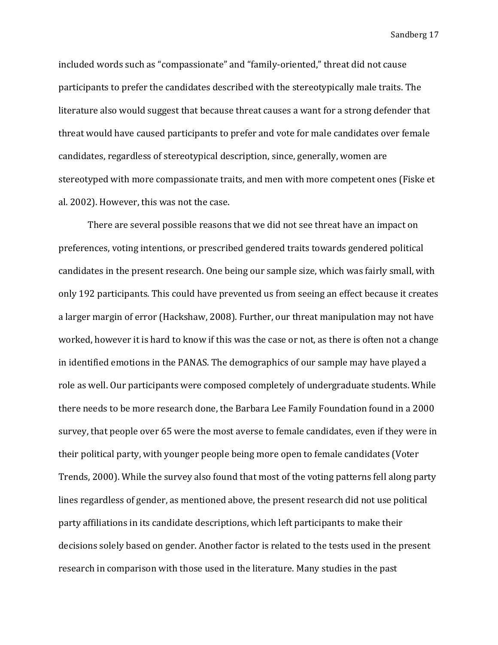included words such as "compassionate" and "family-oriented," threat did not cause participants to prefer the candidates described with the stereotypically male traits. The literature also would suggest that because threat causes a want for a strong defender that threat would have caused participants to prefer and vote for male candidates over female candidates, regardless of stereotypical description, since, generally, women are stereotyped with more compassionate traits, and men with more competent ones (Fiske et al. 2002). However, this was not the case.

There are several possible reasons that we did not see threat have an impact on preferences, voting intentions, or prescribed gendered traits towards gendered political candidates in the present research. One being our sample size, which was fairly small, with only 192 participants. This could have prevented us from seeing an effect because it creates a larger margin of error (Hackshaw, 2008). Further, our threat manipulation may not have worked, however it is hard to know if this was the case or not, as there is often not a change in identified emotions in the PANAS. The demographics of our sample may have played a role as well. Our participants were composed completely of undergraduate students. While there needs to be more research done, the Barbara Lee Family Foundation found in a 2000 survey, that people over 65 were the most averse to female candidates, even if they were in their political party, with younger people being more open to female candidates (Voter Trends, 2000). While the survey also found that most of the voting patterns fell along party lines regardless of gender, as mentioned above, the present research did not use political party affiliations in its candidate descriptions, which left participants to make their decisions solely based on gender. Another factor is related to the tests used in the present research in comparison with those used in the literature. Many studies in the past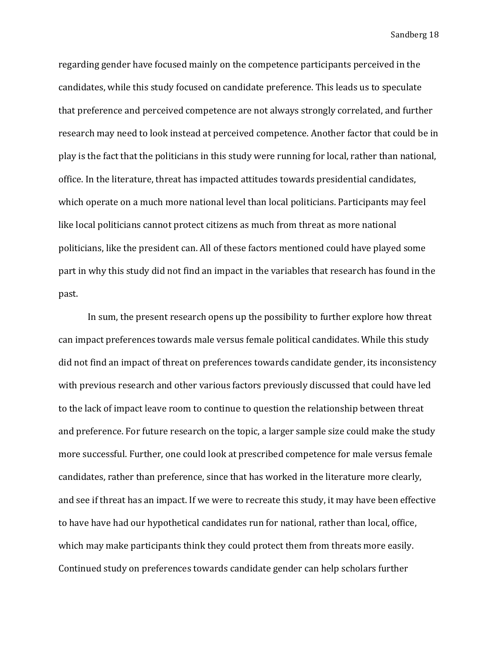regarding gender have focused mainly on the competence participants perceived in the candidates, while this study focused on candidate preference. This leads us to speculate that preference and perceived competence are not always strongly correlated, and further research may need to look instead at perceived competence. Another factor that could be in play is the fact that the politicians in this study were running for local, rather than national, office. In the literature, threat has impacted attitudes towards presidential candidates, which operate on a much more national level than local politicians. Participants may feel like local politicians cannot protect citizens as much from threat as more national politicians, like the president can. All of these factors mentioned could have played some part in why this study did not find an impact in the variables that research has found in the past. 

In sum, the present research opens up the possibility to further explore how threat can impact preferences towards male versus female political candidates. While this study did not find an impact of threat on preferences towards candidate gender, its inconsistency with previous research and other various factors previously discussed that could have led to the lack of impact leave room to continue to question the relationship between threat and preference. For future research on the topic, a larger sample size could make the study more successful. Further, one could look at prescribed competence for male versus female candidates, rather than preference, since that has worked in the literature more clearly, and see if threat has an impact. If we were to recreate this study, it may have been effective to have have had our hypothetical candidates run for national, rather than local, office, which may make participants think they could protect them from threats more easily. Continued study on preferences towards candidate gender can help scholars further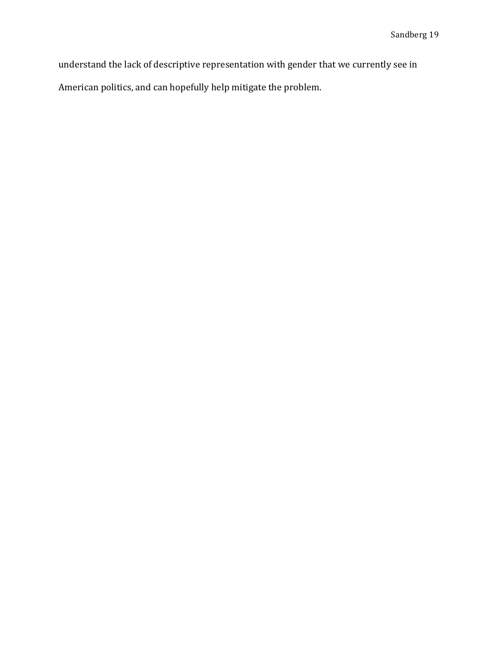understand the lack of descriptive representation with gender that we currently see in American politics, and can hopefully help mitigate the problem.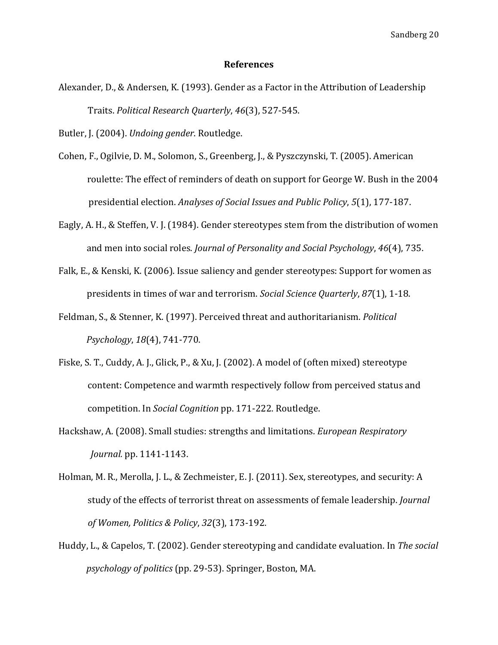#### **References**

- Alexander, D., & Andersen, K. (1993). Gender as a Factor in the Attribution of Leadership Traits. *Political Research Quarterly*, *46*(3), 527-545.
- Butler, J. (2004). *Undoing gender*. Routledge.
- Cohen, F., Ogilvie, D. M., Solomon, S., Greenberg, J., & Pyszczynski, T. (2005). American roulette: The effect of reminders of death on support for George W. Bush in the 2004 presidential election. *Analyses of Social Issues and Public Policy*, 5(1), 177-187.
- Eagly, A. H., & Steffen, V. I. (1984). Gender stereotypes stem from the distribution of women and men into social roles. *Journal of Personality and Social Psychology*, 46(4), 735.
- Falk, E., & Kenski, K. (2006). Issue saliency and gender stereotypes: Support for women as presidents in times of war and terrorism. *Social Science Quarterly*, 87(1), 1-18.
- Feldman, S., & Stenner, K. (1997). Perceived threat and authoritarianism. *Political Psychology*, *18*(4), 741-770.
- Fiske, S. T., Cuddy, A. J., Glick, P., & Xu, J. (2002). A model of (often mixed) stereotype content: Competence and warmth respectively follow from perceived status and competition. In *Social Cognition* pp. 171-222. Routledge.
- Hackshaw, A. (2008). Small studies: strengths and limitations. *European Respiratory lournal.* pp. 1141-1143.
- Holman, M. R., Merolla, J. L., & Zechmeister, E. J. (2011). Sex, stereotypes, and security: A study of the effects of terrorist threat on assessments of female leadership. *Journal of Women, Politics & Policy*, *32*(3), 173-192.
- Huddy, L., & Capelos, T. (2002). Gender stereotyping and candidate evaluation. In *The social psychology of politics* (pp. 29-53). Springer, Boston, MA.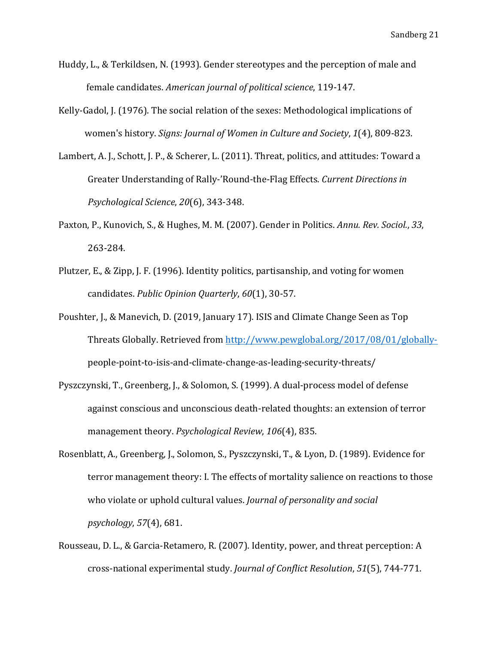- Huddy, L., & Terkildsen, N. (1993). Gender stereotypes and the perception of male and female candidates. *American journal of political science*, 119-147.
- Kelly-Gadol, J. (1976). The social relation of the sexes: Methodological implications of women's history. *Signs: Journal of Women in Culture and Society*, 1(4), 809-823.
- Lambert, A. J., Schott, J. P., & Scherer, L. (2011). Threat, politics, and attitudes: Toward a Greater Understanding of Rally-'Round-the-Flag Effects. *Current Directions in Psychological Science*, *20*(6), 343-348.
- Paxton, P., Kunovich, S., & Hughes, M. M. (2007). Gender in Politics. *Annu. Rev. Sociol.*, 33, 263-284.
- Plutzer, E., & Zipp, J. F. (1996). Identity politics, partisanship, and voting for women candidates. Public Opinion Quarterly, 60(1), 30-57.
- Poushter, J., & Manevich, D. (2019, January 17). ISIS and Climate Change Seen as Top Threats Globally. Retrieved from http://www.pewglobal.org/2017/08/01/globallypeople-point-to-isis-and-climate-change-as-leading-security-threats/
- Pyszczynski, T., Greenberg, J., & Solomon, S. (1999). A dual-process model of defense against conscious and unconscious death-related thoughts: an extension of terror management theory. *Psychological Review*, 106(4), 835.
- Rosenblatt, A., Greenberg, J., Solomon, S., Pyszczynski, T., & Lyon, D. (1989). Evidence for terror management theory: I. The effects of mortality salience on reactions to those who violate or uphold cultural values. *Journal of personality and social psychology*, *57*(4), 681.
- Rousseau, D. L., & Garcia-Retamero, R. (2007). Identity, power, and threat perception: A cross-national experimental study. *Journal of Conflict Resolution*, *51*(5), 744-771.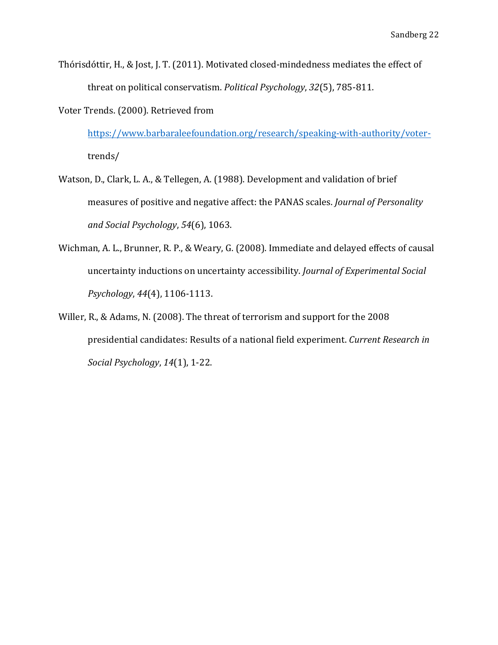Thórisdóttir, H., & Jost, J. T. (2011). Motivated closed-mindedness mediates the effect of threat on political conservatism. *Political Psychology*, 32(5), 785-811.

Voter Trends. (2000). Retrieved from

https://www.barbaraleefoundation.org/research/speaking-with-authority/votertrends/

- Watson, D., Clark, L. A., & Tellegen, A. (1988). Development and validation of brief measures of positive and negative affect: the PANAS scales. *Journal of Personality and Social Psychology*, *54*(6), 1063.
- Wichman, A. L., Brunner, R. P., & Weary, G. (2008). Immediate and delayed effects of causal uncertainty inductions on uncertainty accessibility. *Journal of Experimental Social Psychology*, 44(4), 1106-1113.
- Willer, R., & Adams, N. (2008). The threat of terrorism and support for the 2008 presidential candidates: Results of a national field experiment. *Current Research in Social Psychology*, *14*(1), 1-22.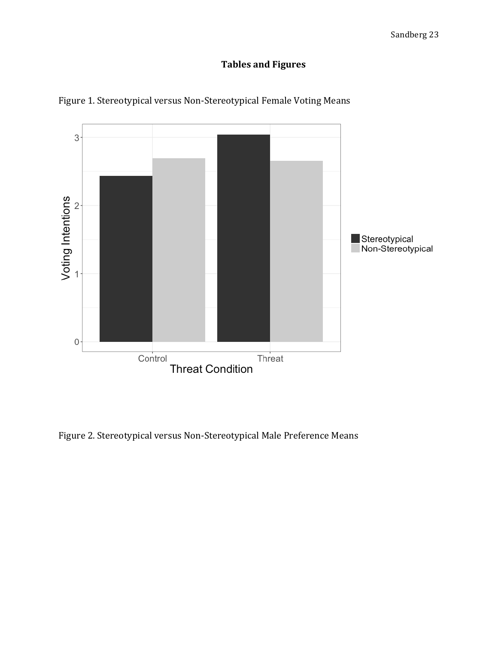# **Tables and Figures**



Figure 1. Stereotypical versus Non-Stereotypical Female Voting Means

Figure 2. Stereotypical versus Non-Stereotypical Male Preference Means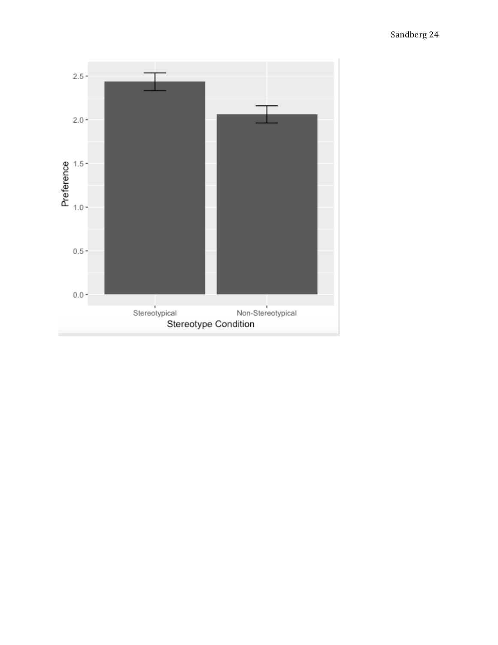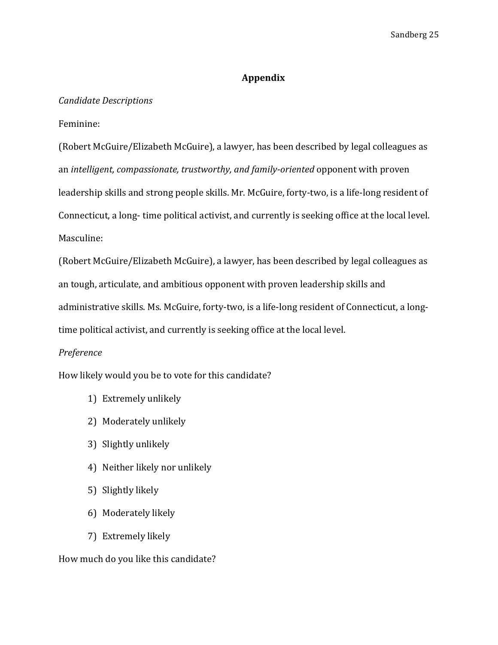## **Appendix**

#### *Candidate Descriptions*

Feminine:

(Robert McGuire/Elizabeth McGuire), a lawyer, has been described by legal colleagues as an *intelligent, compassionate, trustworthy, and family-oriented* opponent with proven leadership skills and strong people skills. Mr. McGuire, forty-two, is a life-long resident of Connecticut, a long- time political activist, and currently is seeking office at the local level. Masculine:

(Robert McGuire/Elizabeth McGuire), a lawyer, has been described by legal colleagues as an tough, articulate, and ambitious opponent with proven leadership skills and administrative skills. Ms. McGuire, forty-two, is a life-long resident of Connecticut, a longtime political activist, and currently is seeking office at the local level.

## *Preference*

How likely would you be to vote for this candidate?

- 1) Extremely unlikely
- 2) Moderately unlikely
- 3) Slightly unlikely
- 4) Neither likely nor unlikely
- 5) Slightly likely
- 6) Moderately likely
- 7) Extremely likely

How much do you like this candidate?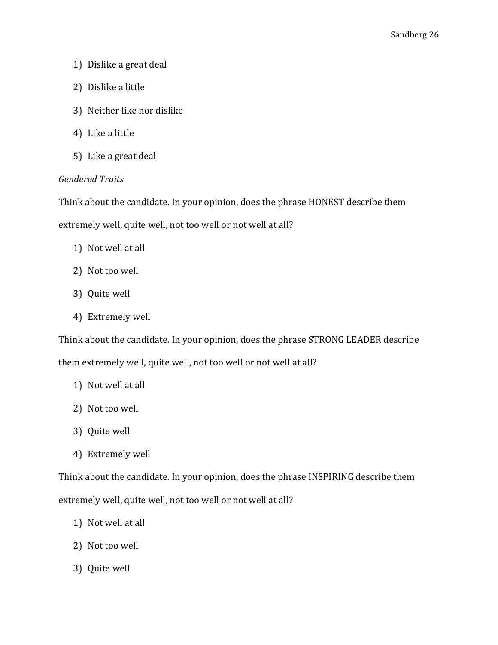- 1) Dislike a great deal
- 2) Dislike a little
- 3) Neither like nor dislike
- 4) Like a little
- 5) Like a great deal

## *Gendered Traits*

Think about the candidate. In your opinion, does the phrase HONEST describe them

extremely well, quite well, not too well or not well at all?

- 1) Not well at all
- 2) Not too well
- 3) Quite well
- 4) Extremely well

Think about the candidate. In your opinion, does the phrase STRONG LEADER describe them extremely well, quite well, not too well or not well at all?

- 1) Not well at all
- 2) Not too well
- 3) Quite well
- 4) Extremely well

Think about the candidate. In your opinion, does the phrase INSPIRING describe them

extremely well, quite well, not too well or not well at all?

- 1) Not well at all
- 2) Not too well
- 3) Quite well